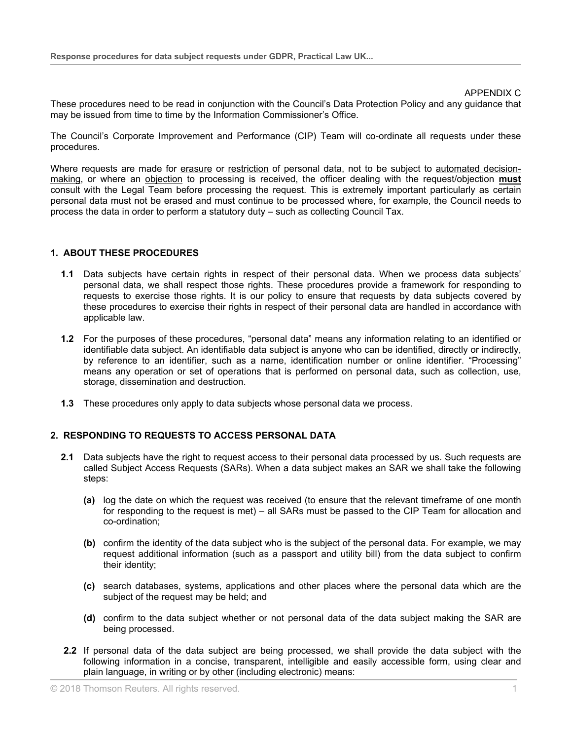#### APPENDIX C

These procedures need to be read in conjunction with the Council's Data Protection Policy and any guidance that may be issued from time to time by the Information Commissioner's Office.

The Council's Corporate Improvement and Performance (CIP) Team will co-ordinate all requests under these procedures.

Where requests are made for erasure or restriction of personal data, not to be subject to automated decisionmaking, or where an objection to processing is received, the officer dealing with the request/objection **must** consult with the Legal Team before processing the request. This is extremely important particularly as certain personal data must not be erased and must continue to be processed where, for example, the Council needs to process the data in order to perform a statutory duty – such as collecting Council Tax.

### **1. ABOUT THESE PROCEDURES**

- **1.1** Data subjects have certain rights in respect of their personal data. When we process data subjects' personal data, we shall respect those rights. These procedures provide a framework for responding to requests to exercise those rights. It is our policy to ensure that requests by data subjects covered by these procedures to exercise their rights in respect of their personal data are handled in accordance with applicable law.
- **1.2** For the purposes of these procedures, "personal data" means any information relating to an identified or identifiable data subject. An identifiable data subject is anyone who can be identified, directly or indirectly, by reference to an identifier, such as a name, identification number or online identifier. "Processing" means any operation or set of operations that is performed on personal data, such as collection, use, storage, dissemination and destruction.
- **1.3** These procedures only apply to data subjects whose personal data we process.

# **2. RESPONDING TO REQUESTS TO ACCESS PERSONAL DATA**

- **2.1** Data subjects have the right to request access to their personal data processed by us. Such requests are called Subject Access Requests (SARs). When a data subject makes an SAR we shall take the following steps:
	- **(a)** log the date on which the request was received (to ensure that the relevant timeframe of one month for responding to the request is met) – all SARs must be passed to the CIP Team for allocation and co-ordination;
	- **(b)** confirm the identity of the data subject who is the subject of the personal data. For example, we may request additional information (such as a passport and utility bill) from the data subject to confirm their identity;
	- **(c)** search databases, systems, applications and other places where the personal data which are the subject of the request may be held; and
	- **(d)** confirm to the data subject whether or not personal data of the data subject making the SAR are being processed.
- **2.2** If personal data of the data subject are being processed, we shall provide the data subject with the following information in a concise, transparent, intelligible and easily accessible form, using clear and plain language, in writing or by other (including electronic) means: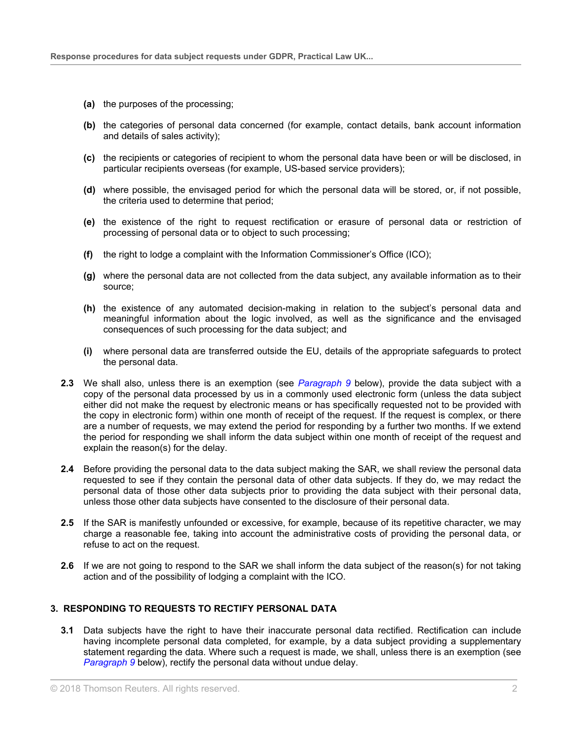- **(a)** the purposes of the processing;
- **(b)** the categories of personal data concerned (for example, contact details, bank account information and details of sales activity);
- **(c)** the recipients or categories of recipient to whom the personal data have been or will be disclosed, in particular recipients overseas (for example, US-based service providers);
- **(d)** where possible, the envisaged period for which the personal data will be stored, or, if not possible, the criteria used to determine that period;
- **(e)** the existence of the right to request rectification or erasure of personal data or restriction of processing of personal data or to object to such processing;
- **(f)** the right to lodge a complaint with the Information Commissioner's Office (ICO);
- **(g)** where the personal data are not collected from the data subject, any available information as to their source;
- **(h)** the existence of any automated decision-making in relation to the subject's personal data and meaningful information about the logic involved, as well as the significance and the envisaged consequences of such processing for the data subject; and
- **(i)** where personal data are transferred outside the EU, details of the appropriate safeguards to protect the personal data.
- **2.3** We shall also, unless there is an exemption (see *[Paragraph](#page-5-0) 9* below), provide the data subject with a copy of the personal data processed by us in a commonly used electronic form (unless the data subject either did not make the request by electronic means or has specifically requested not to be provided with the copy in electronic form) within one month of receipt of the request. If the request is complex, or there are a number of requests, we may extend the period for responding by a further two months. If we extend the period for responding we shall inform the data subject within one month of receipt of the request and explain the reason(s) for the delay.
- **2.4** Before providing the personal data to the data subject making the SAR, we shall review the personal data requested to see if they contain the personal data of other data subjects. If they do, we may redact the personal data of those other data subjects prior to providing the data subject with their personal data, unless those other data subjects have consented to the disclosure of their personal data.
- **2.5** If the SAR is manifestly unfounded or excessive, for example, because of its repetitive character, we may charge a reasonable fee, taking into account the administrative costs of providing the personal data, or refuse to act on the request.
- **2.6** If we are not going to respond to the SAR we shall inform the data subject of the reason(s) for not taking action and of the possibility of lodging a complaint with the ICO.

# **3. RESPONDING TO REQUESTS TO RECTIFY PERSONAL DATA**

**3.1** Data subjects have the right to have their inaccurate personal data rectified. Rectification can include having incomplete personal data completed, for example, by a data subject providing a supplementary statement regarding the data. Where such a request is made, we shall, unless there is an exemption (see *[Paragraph](#page-5-0) 9* below), rectify the personal data without undue delay.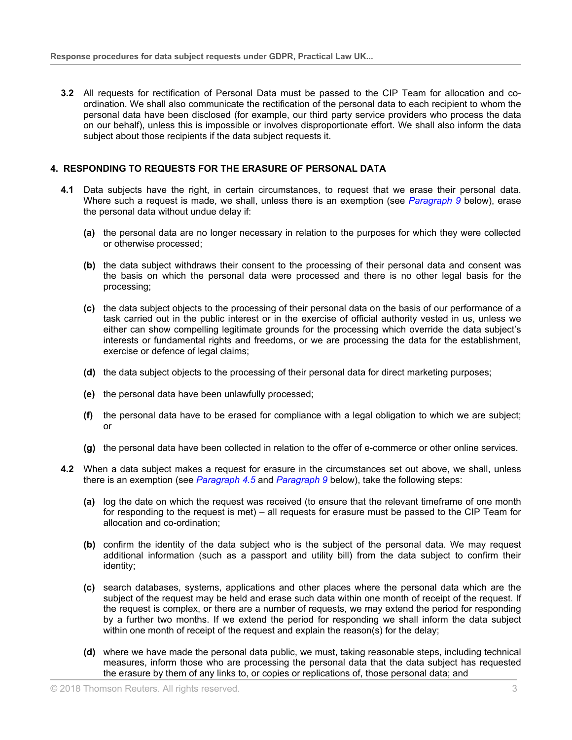**3.2** All requests for rectification of Personal Data must be passed to the CIP Team for allocation and coordination. We shall also communicate the rectification of the personal data to each recipient to whom the personal data have been disclosed (for example, our third party service providers who process the data on our behalf), unless this is impossible or involves disproportionate effort. We shall also inform the data subject about those recipients if the data subject requests it.

### **4. RESPONDING TO REQUESTS FOR THE ERASURE OF PERSONAL DATA**

- **4.1** Data subjects have the right, in certain circumstances, to request that we erase their personal data. Where such a request is made, we shall, unless there is an exemption (see *[Paragraph](#page-5-0) 9* below), erase the personal data without undue delay if:
	- **(a)** the personal data are no longer necessary in relation to the purposes for which they were collected or otherwise processed;
	- **(b)** the data subject withdraws their consent to the processing of their personal data and consent was the basis on which the personal data were processed and there is no other legal basis for the processing;
	- **(c)** the data subject objects to the processing of their personal data on the basis of our performance of a task carried out in the public interest or in the exercise of official authority vested in us, unless we either can show compelling legitimate grounds for the processing which override the data subject's interests or fundamental rights and freedoms, or we are processing the data for the establishment, exercise or defence of legal claims;
	- **(d)** the data subject objects to the processing of their personal data for direct marketing purposes;
	- **(e)** the personal data have been unlawfully processed;
	- **(f)** the personal data have to be erased for compliance with a legal obligation to which we are subject; or
	- **(g)** the personal data have been collected in relation to the offer of e-commerce or other online services.
- **4.2** When a data subject makes a request for erasure in the circumstances set out above, we shall, unless there is an exemption (see *[Paragraph](#page-3-0) 4.5* and *[Paragraph](#page-5-0) 9* below), take the following steps:
	- **(a)** log the date on which the request was received (to ensure that the relevant timeframe of one month for responding to the request is met) – all requests for erasure must be passed to the CIP Team for allocation and co-ordination;
	- **(b)** confirm the identity of the data subject who is the subject of the personal data. We may request additional information (such as a passport and utility bill) from the data subject to confirm their identity;
	- **(c)** search databases, systems, applications and other places where the personal data which are the subject of the request may be held and erase such data within one month of receipt of the request. If the request is complex, or there are a number of requests, we may extend the period for responding by a further two months. If we extend the period for responding we shall inform the data subject within one month of receipt of the request and explain the reason(s) for the delay;
	- **(d)** where we have made the personal data public, we must, taking reasonable steps, including technical measures, inform those who are processing the personal data that the data subject has requested the erasure by them of any links to, or copies or replications of, those personal data; and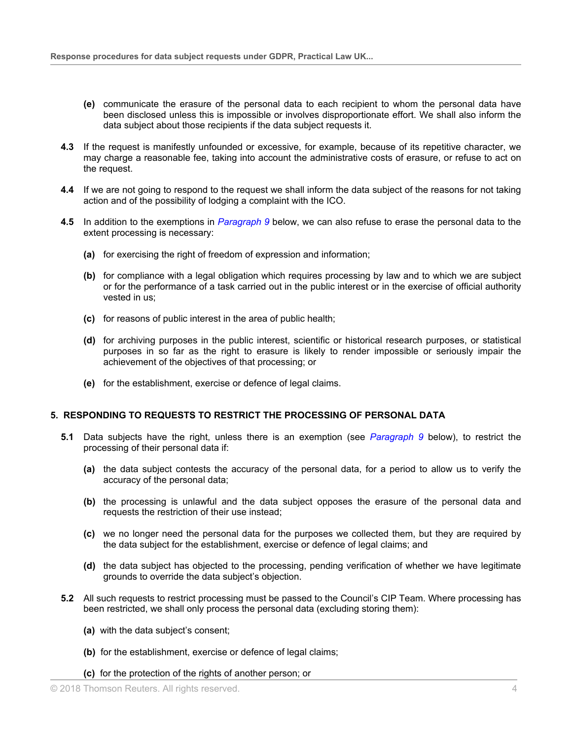- **(e)** communicate the erasure of the personal data to each recipient to whom the personal data have been disclosed unless this is impossible or involves disproportionate effort. We shall also inform the data subject about those recipients if the data subject requests it.
- **4.3** If the request is manifestly unfounded or excessive, for example, because of its repetitive character, we may charge a reasonable fee, taking into account the administrative costs of erasure, or refuse to act on the request.
- **4.4** If we are not going to respond to the request we shall inform the data subject of the reasons for not taking action and of the possibility of lodging a complaint with the ICO.
- <span id="page-3-0"></span>**4.5** In addition to the exemptions in *[Paragraph](#page-5-0) 9* below, we can also refuse to erase the personal data to the extent processing is necessary:
	- **(a)** for exercising the right of freedom of expression and information;
	- **(b)** for compliance with a legal obligation which requires processing by law and to which we are subject or for the performance of a task carried out in the public interest or in the exercise of official authority vested in us;
	- **(c)** for reasons of public interest in the area of public health;
	- **(d)** for archiving purposes in the public interest, scientific or historical research purposes, or statistical purposes in so far as the right to erasure is likely to render impossible or seriously impair the achievement of the objectives of that processing; or
	- **(e)** for the establishment, exercise or defence of legal claims.

### **5. RESPONDING TO REQUESTS TO RESTRICT THE PROCESSING OF PERSONAL DATA**

- **5.1** Data subjects have the right, unless there is an exemption (see *[Paragraph](#page-5-0) 9* below), to restrict the processing of their personal data if:
	- **(a)** the data subject contests the accuracy of the personal data, for a period to allow us to verify the accuracy of the personal data;
	- **(b)** the processing is unlawful and the data subject opposes the erasure of the personal data and requests the restriction of their use instead;
	- **(c)** we no longer need the personal data for the purposes we collected them, but they are required by the data subject for the establishment, exercise or defence of legal claims; and
	- **(d)** the data subject has objected to the processing, pending verification of whether we have legitimate grounds to override the data subject's objection.
- **5.2** All such requests to restrict processing must be passed to the Council's CIP Team. Where processing has been restricted, we shall only process the personal data (excluding storing them):
	- **(a)** with the data subject's consent;
	- **(b)** for the establishment, exercise or defence of legal claims;
	- **(c)** for the protection of the rights of another person; or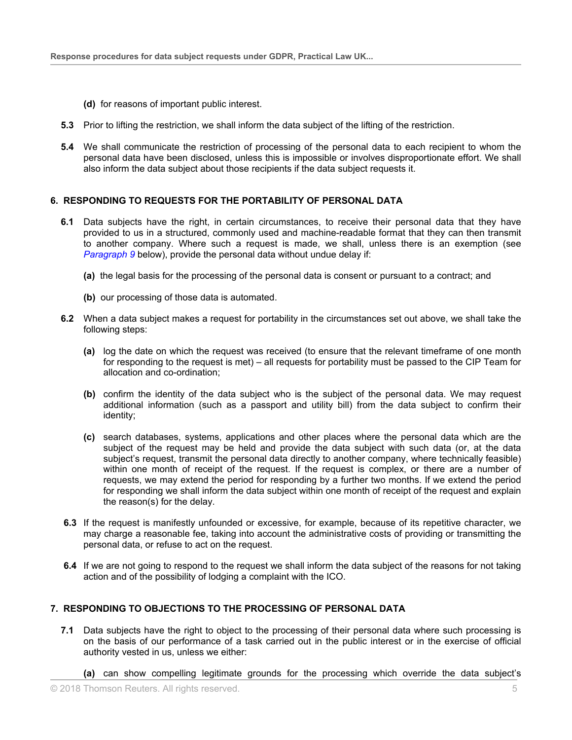- **(d)** for reasons of important public interest.
- **5.3** Prior to lifting the restriction, we shall inform the data subject of the lifting of the restriction.
- **5.4** We shall communicate the restriction of processing of the personal data to each recipient to whom the personal data have been disclosed, unless this is impossible or involves disproportionate effort. We shall also inform the data subject about those recipients if the data subject requests it.

### **6. RESPONDING TO REQUESTS FOR THE PORTABILITY OF PERSONAL DATA**

- **6.1** Data subjects have the right, in certain circumstances, to receive their personal data that they have provided to us in a structured, commonly used and machine-readable format that they can then transmit to another company. Where such a request is made, we shall, unless there is an exemption (see *[Paragraph](#page-5-0) 9* below), provide the personal data without undue delay if:
	- **(a)** the legal basis for the processing of the personal data is consent or pursuant to a contract; and
	- **(b)** our processing of those data is automated.
- **6.2** When a data subject makes a request for portability in the circumstances set out above, we shall take the following steps:
	- **(a)** log the date on which the request was received (to ensure that the relevant timeframe of one month for responding to the request is met) – all requests for portability must be passed to the CIP Team for allocation and co-ordination;
	- **(b)** confirm the identity of the data subject who is the subject of the personal data. We may request additional information (such as a passport and utility bill) from the data subject to confirm their identity;
	- **(c)** search databases, systems, applications and other places where the personal data which are the subject of the request may be held and provide the data subject with such data (or, at the data subject's request, transmit the personal data directly to another company, where technically feasible) within one month of receipt of the request. If the request is complex, or there are a number of requests, we may extend the period for responding by a further two months. If we extend the period for responding we shall inform the data subject within one month of receipt of the request and explain the reason(s) for the delay.
- **6.3** If the request is manifestly unfounded or excessive, for example, because of its repetitive character, we may charge a reasonable fee, taking into account the administrative costs of providing or transmitting the personal data, or refuse to act on the request.
- **6.4** If we are not going to respond to the request we shall inform the data subject of the reasons for not taking action and of the possibility of lodging a complaint with the ICO.

# **7. RESPONDING TO OBJECTIONS TO THE PROCESSING OF PERSONAL DATA**

- **7.1** Data subjects have the right to object to the processing of their personal data where such processing is on the basis of our performance of a task carried out in the public interest or in the exercise of official authority vested in us, unless we either:
	- **(a)** can show compelling legitimate grounds for the processing which override the data subject's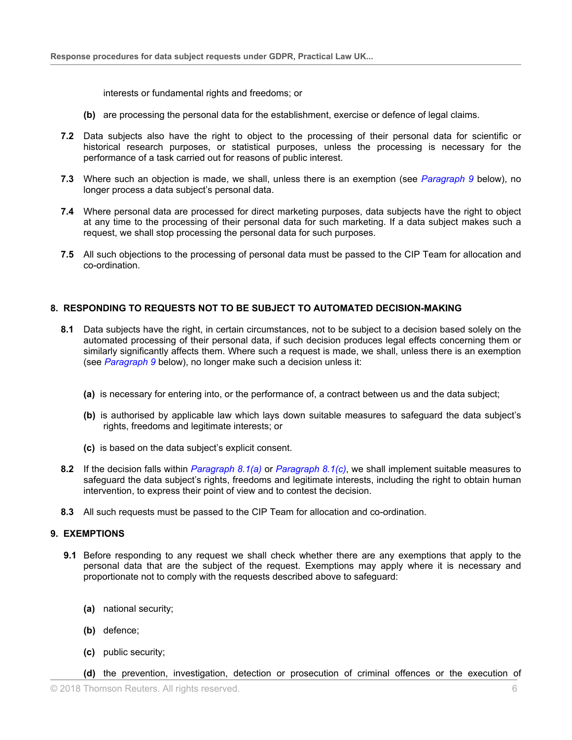interests or fundamental rights and freedoms; or

- **(b)** are processing the personal data for the establishment, exercise or defence of legal claims.
- **7.2** Data subjects also have the right to object to the processing of their personal data for scientific or historical research purposes, or statistical purposes, unless the processing is necessary for the performance of a task carried out for reasons of public interest.
- **7.3** Where such an objection is made, we shall, unless there is an exemption (see *[Paragraph](#page-5-0) 9* below), no longer process a data subject's personal data.
- **7.4** Where personal data are processed for direct marketing purposes, data subjects have the right to object at any time to the processing of their personal data for such marketing. If a data subject makes such a request, we shall stop processing the personal data for such purposes.
- **7.5** All such objections to the processing of personal data must be passed to the CIP Team for allocation and co-ordination.

# **8. RESPONDING TO REQUESTS NOT TO BE SUBJECT TO AUTOMATED DECISION-MAKING**

- <span id="page-5-1"></span>**8.1** Data subjects have the right, in certain circumstances, not to be subject to a decision based solely on the automated processing of their personal data, if such decision produces legal effects concerning them or similarly significantly affects them. Where such a request is made, we shall, unless there is an exemption (see *[Paragraph](#page-5-0) 9* below), no longer make such a decision unless it:
	- **(a)** is necessary for entering into, or the performance of, a contract between us and the data subject;
	- **(b)** is authorised by applicable law which lays down suitable measures to safeguard the data subject's rights, freedoms and legitimate interests; or
	- **(c)** is based on the data subject's explicit consent.
- <span id="page-5-2"></span>**8.2** If the decision falls within *[Paragraph](#page-5-1) 8.1(a)* or *[Paragraph](#page-5-2) 8.1(c)*, we shall implement suitable measures to safeguard the data subject's rights, freedoms and legitimate interests, including the right to obtain human intervention, to express their point of view and to contest the decision.
- **8.3** All such requests must be passed to the CIP Team for allocation and co-ordination.

### <span id="page-5-0"></span>**9. EXEMPTIONS**

- <span id="page-5-3"></span>**9.1** Before responding to any request we shall check whether there are any exemptions that apply to the personal data that are the subject of the request. Exemptions may apply where it is necessary and proportionate not to comply with the requests described above to safeguard:
	- **(a)** national security;
	- **(b)** defence;
	- **(c)** public security;
	- **(d)** the prevention, investigation, detection or prosecution of criminal offences or the execution of